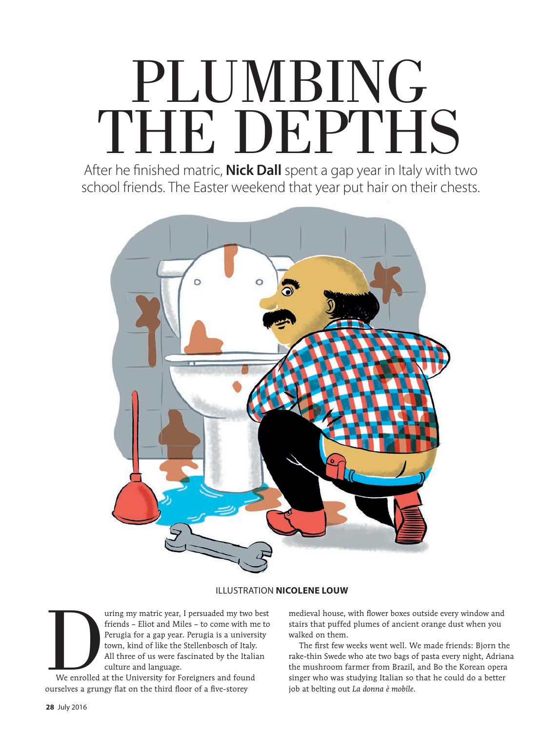## PLUMBING THE DEPTHS

After he finished matric, **Nick Dall** spent a gap year in Italy with two school friends. The Easter weekend that year put hair on their chests.



## ILLUSTRATION **NICOLENE LOUW**

The uring my matric year, I persuaded my two best<br>
friends – Eliot and Miles – to come with me to<br>
Perugia for a gap year. Perugia is a university<br>
town, kind of like the Stellenbosch of Italy.<br>
All three of us were fascin friends – Eliot and Miles – to come with me to Perugia for a gap year. Perugia is a university town, kind of like the Stellenbosch of Italy. All three of us were fascinated by the Italian culture and language.

We enrolled at the University for Foreigners and found ourselves a grungy flat on the third floor of a five-storey

medieval house, with flower boxes outside every window and stairs that puffed plumes of ancient orange dust when you walked on them.

The first few weeks went well. We made friends: Bjorn the rake-thin Swede who ate two bags of pasta every night, Adriana the mushroom farmer from Brazil, and Bo the Korean opera singer who was studying Italian so that he could do a better job at belting out *La donna è mobile*.